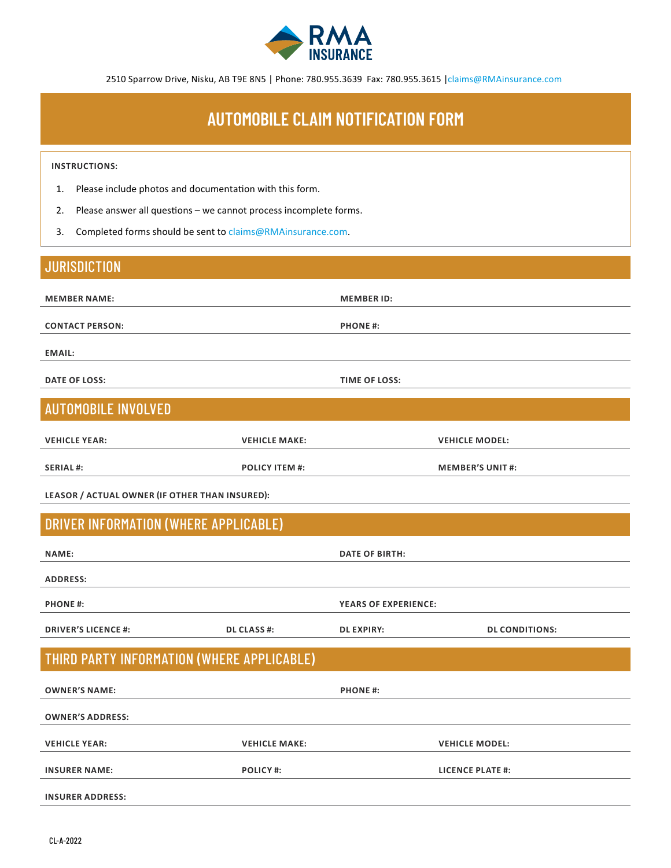

2510 Sparrow Drive, Nisku, AB T9E 8N5 | Phone: 780.955.3639 Fax: 780.955.3615 |claims@RMAinsurance.com

# **AUTOMOBILE CLAIM NOTIFICATION FORM**

#### **INSTRUCTIONS:**

- 1. Please include photos and documentation with this form.
- 2. Please answer all questions we cannot process incomplete forms.
- 3. Completed forms should be sent to claims@RMAinsurance.com.

### **JURISDICTION**

| <b>MEMBER NAME:</b>        | <b>MEMBER ID:</b>    |
|----------------------------|----------------------|
|                            |                      |
| <b>CONTACT PERSON:</b>     | <b>PHONE#:</b>       |
|                            |                      |
| <b>EMAIL:</b>              |                      |
|                            |                      |
| <b>DATE OF LOSS:</b>       | <b>TIME OF LOSS:</b> |
|                            |                      |
| <b>AUTOMOBILE INVOLVED</b> |                      |

| <b>VEHICLE YEAR:</b> | <b>VEHICLE MAKE:</b>  | <b>VEHICLE MODEL:</b>   |
|----------------------|-----------------------|-------------------------|
| <b>SERIAL#:</b>      | <b>POLICY ITEM #:</b> | <b>MEMBER'S UNIT #:</b> |

**LEASOR / ACTUAL OWNER (IF OTHER THAN INSURED):**

#### DRIVER INFORMATION (WHERE APPLICABLE)

| <b>NAME:</b>               |                    | DATE OF BIRTH:              |                       |
|----------------------------|--------------------|-----------------------------|-----------------------|
| <b>ADDRESS:</b>            |                    |                             |                       |
|                            |                    |                             |                       |
| <b>PHONE#:</b>             |                    | <b>YEARS OF EXPERIENCE:</b> |                       |
| <b>DRIVER'S LICENCE #:</b> | <b>DL CLASS #:</b> | <b>DL EXPIRY:</b>           | <b>DL CONDITIONS:</b> |

## THIRD PARTY INFORMATION (WHERE APPLICABLE)

| <b>OWNER'S NAME:</b>    | <b>PHONE#:</b>       |                       |
|-------------------------|----------------------|-----------------------|
| <b>OWNER'S ADDRESS:</b> |                      |                       |
|                         |                      |                       |
| <b>VEHICLE YEAR:</b>    | <b>VEHICLE MAKE:</b> | <b>VEHICLE MODEL:</b> |
| <b>INSURER NAME:</b>    | <b>POLICY#:</b>      | LICENCE PLATE #:      |
|                         |                      |                       |
| <b>INSURER ADDRESS:</b> |                      |                       |